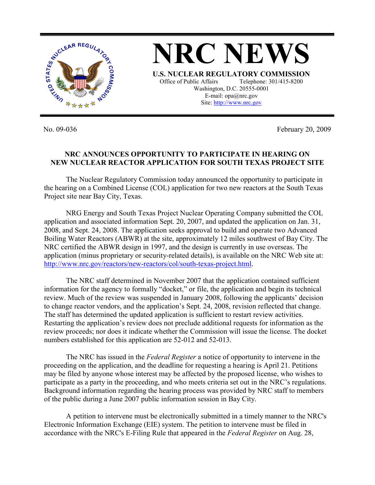

No. 09-036 February 20, 2009

## **NRC ANNOUNCES OPPORTUNITY TO PARTICIPATE IN HEARING ON NEW NUCLEAR REACTOR APPLICATION FOR SOUTH TEXAS PROJECT SITE**

 The Nuclear Regulatory Commission today announced the opportunity to participate in the hearing on a Combined License (COL) application for two new reactors at the South Texas Project site near Bay City, Texas.

NRG Energy and South Texas Project Nuclear Operating Company submitted the COL application and associated information Sept. 20, 2007, and updated the application on Jan. 31, 2008, and Sept. 24, 2008. The application seeks approval to build and operate two Advanced Boiling Water Reactors (ABWR) at the site, approximately 12 miles southwest of Bay City. The NRC certified the ABWR design in 1997, and the design is currently in use overseas. The application (minus proprietary or security-related details), is available on the NRC Web site at: http://www.nrc.gov/reactors/new-reactors/col/south-texas-project.html.

 The NRC staff determined in November 2007 that the application contained sufficient information for the agency to formally "docket," or file, the application and begin its technical review. Much of the review was suspended in January 2008, following the applicants' decision to change reactor vendors, and the application's Sept. 24, 2008, revision reflected that change. The staff has determined the updated application is sufficient to restart review activities. Restarting the application's review does not preclude additional requests for information as the review proceeds; nor does it indicate whether the Commission will issue the license. The docket numbers established for this application are 52-012 and 52-013.

 The NRC has issued in the *Federal Register* a notice of opportunity to intervene in the proceeding on the application, and the deadline for requesting a hearing is April 21. Petitions may be filed by anyone whose interest may be affected by the proposed license, who wishes to participate as a party in the proceeding, and who meets criteria set out in the NRC's regulations. Background information regarding the hearing process was provided by NRC staff to members of the public during a June 2007 public information session in Bay City.

 A petition to intervene must be electronically submitted in a timely manner to the NRC's Electronic Information Exchange (EIE) system. The petition to intervene must be filed in accordance with the NRC's E-Filing Rule that appeared in the *Federal Register* on Aug. 28,